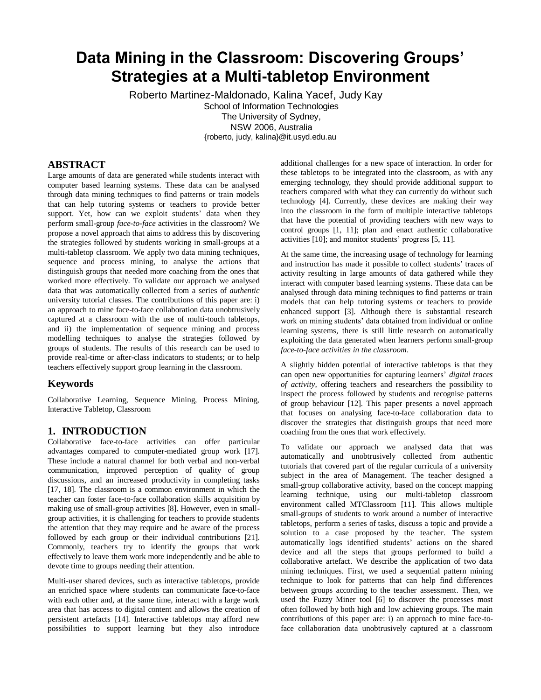# **Data Mining in the Classroom: Discovering Groups' Strategies at a Multi-tabletop Environment**

Roberto Martinez-Maldonado, Kalina Yacef, Judy Kay School of Information Technologies The University of Sydney, NSW 2006, Australia {roberto, judy, kalina}@it.usyd.edu.au

# **ABSTRACT**

Large amounts of data are generated while students interact with computer based learning systems. These data can be analysed through data mining techniques to find patterns or train models that can help tutoring systems or teachers to provide better support. Yet, how can we exploit students' data when they perform small-group *face-to-face* activities in the classroom? We propose a novel approach that aims to address this by discovering the strategies followed by students working in small-groups at a multi-tabletop classroom. We apply two data mining techniques, sequence and process mining, to analyse the actions that distinguish groups that needed more coaching from the ones that worked more effectively. To validate our approach we analysed data that was automatically collected from a series of *authentic* university tutorial classes. The contributions of this paper are: i) an approach to mine face-to-face collaboration data unobtrusively captured at a classroom with the use of multi-touch tabletops, and ii) the implementation of sequence mining and process modelling techniques to analyse the strategies followed by groups of students. The results of this research can be used to provide real-time or after-class indicators to students; or to help teachers effectively support group learning in the classroom.

### **Keywords**

Collaborative Learning, Sequence Mining, Process Mining, Interactive Tabletop, Classroom

#### **1. INTRODUCTION**

Collaborative face-to-face activities can offer particular advantages compared to computer-mediated group work [\[17\]](#page-7-0). These include a natural channel for both verbal and non-verbal communication, improved perception of quality of group discussions, and an increased productivity in completing tasks [\[17,](#page-7-0) [18\]](#page-7-1). The classroom is a common environment in which the teacher can foster face-to-face collaboration skills acquisition by making use of small-group activities [\[8\]](#page-7-2). However, even in smallgroup activities, it is challenging for teachers to provide students the attention that they may require and be aware of the process followed by each group or their individual contributions [\[21\]](#page-7-3). Commonly, teachers try to identify the groups that work effectively to leave them work more independently and be able to devote time to groups needing their attention.

Multi-user shared devices, such as interactive tabletops, provide an enriched space where students can communicate face-to-face with each other and, at the same time, interact with a large work area that has access to digital content and allows the creation of persistent artefacts [\[14\]](#page-7-4). Interactive tabletops may afford new possibilities to support learning but they also introduce

additional challenges for a new space of interaction. In order for these tabletops to be integrated into the classroom, as with any emerging technology, they should provide additional support to teachers compared with what they can currently do without such technology [\[4\]](#page-7-5). Currently, these devices are making their way into the classroom in the form of multiple interactive tabletops that have the potential of providing teachers with new ways to control groups [\[1,](#page-7-6) [11\]](#page-7-7); plan and enact authentic collaborative activities [\[10\]](#page-7-8); and monitor students' progress [\[5,](#page-7-9) [11\]](#page-7-7).

At the same time, the increasing usage of technology for learning and instruction has made it possible to collect students' traces of activity resulting in large amounts of data gathered while they interact with computer based learning systems. These data can be analysed through data mining techniques to find patterns or train models that can help tutoring systems or teachers to provide enhanced support [\[3\]](#page-7-10). Although there is substantial research work on mining students' data obtained from individual or online learning systems, there is still little research on automatically exploiting the data generated when learners perform small-group *face-to-face activities in the classroom*.

A slightly hidden potential of interactive tabletops is that they can open new opportunities for capturing learners' *digital traces of activity,* offering teachers and researchers the possibility to inspect the process followed by students and recognise patterns of group behaviour [\[12\]](#page-7-11). This paper presents a novel approach that focuses on analysing face-to-face collaboration data to discover the strategies that distinguish groups that need more coaching from the ones that work effectively.

To validate our approach we analysed data that was automatically and unobtrusively collected from authentic tutorials that covered part of the regular curricula of a university subject in the area of Management. The teacher designed a small-group collaborative activity, based on the concept mapping learning technique, using our multi-tabletop classroom environment called MTClassroom [\[11\]](#page-7-7). This allows multiple small-groups of students to work around a number of interactive tabletops, perform a series of tasks, discuss a topic and provide a solution to a case proposed by the teacher. The system automatically logs identified students' actions on the shared device and all the steps that groups performed to build a collaborative artefact. We describe the application of two data mining techniques. First, we used a sequential pattern mining technique to look for patterns that can help find differences between groups according to the teacher assessment. Then, we used the Fuzzy Miner tool [\[6\]](#page-7-12) to discover the processes most often followed by both high and low achieving groups. The main contributions of this paper are: i) an approach to mine face-toface collaboration data unobtrusively captured at a classroom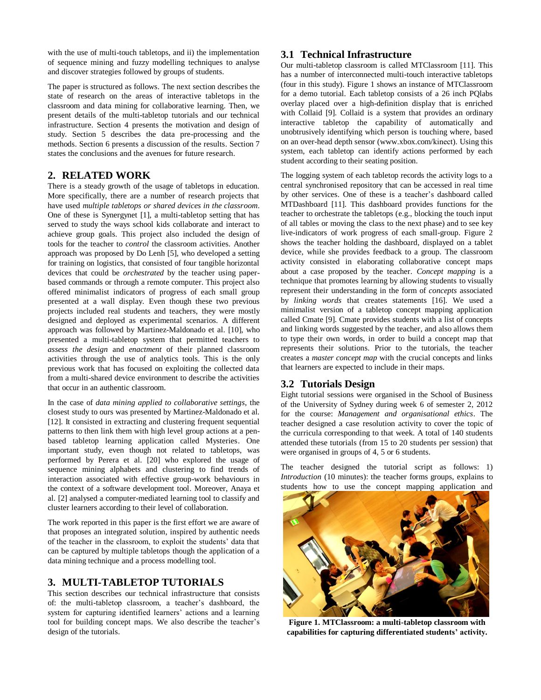with the use of multi-touch tabletops, and ii) the implementation of sequence mining and fuzzy modelling techniques to analyse and discover strategies followed by groups of students.

The paper is structured as follows. The next section describes the state of research on the areas of interactive tabletops in the classroom and data mining for collaborative learning. Then, we present details of the multi-tabletop tutorials and our technical infrastructure. Section 4 presents the motivation and design of study. Section 5 describes the data pre-processing and the methods. Section 6 presents a discussion of the results. Section 7 states the conclusions and the avenues for future research.

# **2. RELATED WORK**

There is a steady growth of the usage of tabletops in education. More specifically, there are a number of research projects that have used *multiple tabletops or shared devices in the classroom*. One of these is Synergynet [\[1\]](#page-7-6), a multi-tabletop setting that has served to study the ways school kids collaborate and interact to achieve group goals. This project also included the design of tools for the teacher to *control* the classroom activities. Another approach was proposed by Do Lenh [\[5\]](#page-7-9), who developed a setting for training on logistics, that consisted of four tangible horizontal devices that could be *orchestrated* by the teacher using paperbased commands or through a remote computer. This project also offered minimalist indicators of progress of each small group presented at a wall display. Even though these two previous projects included real students and teachers, they were mostly designed and deployed as experimental scenarios. A different approach was followed by Martinez-Maldonado et al. [\[10\]](#page-7-8), who presented a multi-tabletop system that permitted teachers to *assess the design* and *enactment* of their planned classroom activities through the use of analytics tools. This is the only previous work that has focused on exploiting the collected data from a multi-shared device environment to describe the activities that occur in an authentic classroom.

In the case of *data mining applied to collaborative settings*, the closest study to ours was presented by Martinez-Maldonado et al. [\[12\]](#page-7-11). It consisted in extracting and clustering frequent sequential patterns to then link them with high level group actions at a penbased tabletop learning application called Mysteries. One important study, even though not related to tabletops, was performed by Perera et al. [\[20\]](#page-7-13) who explored the usage of sequence mining alphabets and clustering to find trends of interaction associated with effective group-work behaviours in the context of a software development tool. Moreover, Anaya et al. [\[2\]](#page-7-14) analysed a computer-mediated learning tool to classify and cluster learners according to their level of collaboration.

The work reported in this paper is the first effort we are aware of that proposes an integrated solution, inspired by authentic needs of the teacher in the classroom, to exploit the students' data that can be captured by multiple tabletops though the application of a data mining technique and a process modelling tool.

# **3. MULTI-TABLETOP TUTORIALS**

This section describes our technical infrastructure that consists of: the multi-tabletop classroom, a teacher's dashboard, the system for capturing identified learners' actions and a learning tool for building concept maps. We also describe the teacher's design of the tutorials.

# **3.1 Technical Infrastructure**

Our multi-tabletop classroom is called MTClassroom [\[11\]](#page-7-7). This has a number of interconnected multi-touch interactive tabletops (four in this study). Figure 1 shows an instance of MTClassroom for a demo tutorial. Each tabletop consists of a 26 inch PQlabs overlay placed over a high-definition display that is enriched with Collaid [\[9\]](#page-7-15). Collaid is a system that provides an ordinary interactive tabletop the capability of automatically and unobtrusively identifying which person is touching where, based on an over-head depth sensor (www.xbox.com/kinect). Using this system, each tabletop can identify actions performed by each student according to their seating position.

The logging system of each tabletop records the activity logs to a central synchronised repository that can be accessed in real time by other services. One of these is a teacher's dashboard called MTDashboard [\[11\]](#page-7-7). This dashboard provides functions for the teacher to orchestrate the tabletops (e.g., blocking the touch input of all tables or moving the class to the next phase) and to see key live-indicators of work progress of each small-group. Figure 2 shows the teacher holding the dashboard, displayed on a tablet device, while she provides feedback to a group. The classroom activity consisted in elaborating collaborative concept maps about a case proposed by the teacher. *Concept mapping* is a technique that promotes learning by allowing students to visually represent their understanding in the form of *concepts* associated by *linking words* that creates statements [\[16\]](#page-7-16). We used a minimalist version of a tabletop concept mapping application called Cmate [\[9\]](#page-7-15). Cmate provides students with a list of concepts and linking words suggested by the teacher, and also allows them to type their own words, in order to build a concept map that represents their solutions. Prior to the tutorials, the teacher creates a *master concept map* with the crucial concepts and links that learners are expected to include in their maps.

# **3.2 Tutorials Design**

Eight tutorial sessions were organised in the School of Business of the University of Sydney during week 6 of semester 2, 2012 for the course: *Management and organisational ethics*. The teacher designed a case resolution activity to cover the topic of the curricula corresponding to that week. A total of 140 students attended these tutorials (from 15 to 20 students per session) that were organised in groups of 4, 5 or 6 students.

The teacher designed the tutorial script as follows: 1) *Introduction* (10 minutes): the teacher forms groups, explains to students how to use the concept mapping application and



**Figure 1. MTClassroom: a multi-tabletop classroom with capabilities for capturing differentiated students' activity.**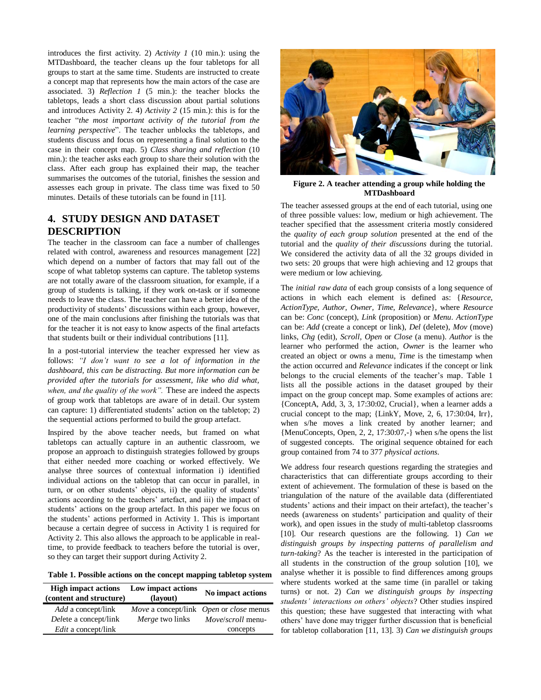introduces the first activity. 2) *Activity 1* (10 min.): using the MTDashboard, the teacher cleans up the four tabletops for all groups to start at the same time. Students are instructed to create a concept map that represents how the main actors of the case are associated. 3) *Reflection 1* (5 min.): the teacher blocks the tabletops, leads a short class discussion about partial solutions and introduces Activity 2. 4) *Activity 2* (15 min.): this is for the teacher "*the most important activity of the tutorial from the learning perspective*". The teacher unblocks the tabletops, and students discuss and focus on representing a final solution to the case in their concept map. 5) *Class sharing and reflection* (10 min.): the teacher asks each group to share their solution with the class. After each group has explained their map, the teacher summarises the outcomes of the tutorial, finishes the session and assesses each group in private. The class time was fixed to 50 minutes. Details of these tutorials can be found in [\[11\]](#page-7-7).

# **4. STUDY DESIGN AND DATASET DESCRIPTION**

The teacher in the classroom can face a number of challenges related with control, awareness and resources management [\[22\]](#page-7-17) which depend on a number of factors that may fall out of the scope of what tabletop systems can capture. The tabletop systems are not totally aware of the classroom situation, for example, if a group of students is talking, if they work on-task or if someone needs to leave the class. The teacher can have a better idea of the productivity of students' discussions within each group, however, one of the main conclusions after finishing the tutorials was that for the teacher it is not easy to know aspects of the final artefacts that students built or their individual contributions [\[11\]](#page-7-7).

In a post-tutorial interview the teacher expressed her view as follows: *"I don't want to see a lot of information in the dashboard, this can be distracting. But more information can be provided after the tutorials for assessment, like who did what, when, and the quality of the work".* These are indeed the aspects of group work that tabletops are aware of in detail. Our system can capture: 1) differentiated students' action on the tabletop; 2) the sequential actions performed to build the group artefact.

Inspired by the above teacher needs, but framed on what tabletops can actually capture in an authentic classroom, we propose an approach to distinguish strategies followed by groups that either needed more coaching or worked effectively. We analyse three sources of contextual information i) identified individual actions on the tabletop that can occur in parallel, in turn, or on other students' objects, ii) the quality of students' actions according to the teachers' artefact, and iii) the impact of students' actions on the group artefact. In this paper we focus on the students' actions performed in Activity 1. This is important because a certain degree of success in Activity 1 is required for Activity 2. This also allows the approach to be applicable in realtime, to provide feedback to teachers before the tutorial is over, so they can target their support during Activity 2.

**Table 1. Possible actions on the concept mapping tabletop system**

| <b>High impact actions</b><br>(content and structure) | Low impact actions<br>(layout) | No impact actions                                                   |
|-------------------------------------------------------|--------------------------------|---------------------------------------------------------------------|
| <i>Add</i> a concept/link<br>Delete a concept/link    | Merge two links                | Move a concept/link Open or close menus<br><i>Move/scroll</i> menu- |
| <i>Edit</i> a concept/link                            |                                | concepts                                                            |



**Figure 2. A teacher attending a group while holding the MTDashboard**

The teacher assessed groups at the end of each tutorial, using one of three possible values: low, medium or high achievement. The teacher specified that the assessment criteria mostly considered the *quality of each group solution* presented at the end of the tutorial and the *quality of their discussions* during the tutorial. We considered the activity data of all the 32 groups divided in two sets: 20 groups that were high achieving and 12 groups that were medium or low achieving.

The *initial raw data* of each group consists of a long sequence of actions in which each element is defined as: {*Resource, ActionType, Author, Owner, Time, Relevance*}, where *Resource* can be: *Conc* (concept), *Link* (proposition) or *Menu*. *ActionType* can be: *Add* (create a concept or link), *Del* (delete), *Mov* (move) links, *Chg* (edit), *Scroll*, *Open* or *Close* (a menu). *Author* is the learner who performed the action, *Owner* is the learner who created an object or owns a menu, *Time* is the timestamp when the action occurred and *Relevance* indicates if the concept or link belongs to the crucial elements of the teacher's map. Table 1 lists all the possible actions in the dataset grouped by their impact on the group concept map. Some examples of actions are: {ConceptA, Add, 3, 3, 17:30:02, Crucial}, when a learner adds a crucial concept to the map; {LinkY, Move, 2, 6, 17:30:04, Irr}, when s/he moves a link created by another learner; and {MenuConcepts, Open, 2, 2, 17:30:07,-} when s/he opens the list of suggested concepts. The original sequence obtained for each group contained from 74 to 377 *physical actions.*

We address four research questions regarding the strategies and characteristics that can differentiate groups according to their extent of achievement. The formulation of these is based on the triangulation of the nature of the available data (differentiated students' actions and their impact on their artefact), the teacher's needs (awareness on students' participation and quality of their work), and open issues in the study of multi-tabletop classrooms [\[10\]](#page-7-8). Our research questions are the following. 1) *Can we distinguish groups by inspecting patterns of parallelism and turn-taking*? As the teacher is interested in the participation of all students in the construction of the group solution [\[10\]](#page-7-8), we analyse whether it is possible to find differences among groups where students worked at the same time (in parallel or taking turns) or not. 2) *Can we distinguish groups by inspecting students' interactions on others' objects*? Other studies inspired this question; these have suggested that interacting with what others' have done may trigger further discussion that is beneficial for tabletop collaboration [\[11,](#page-7-7) [13\]](#page-7-18). 3) *Can we distinguish groups*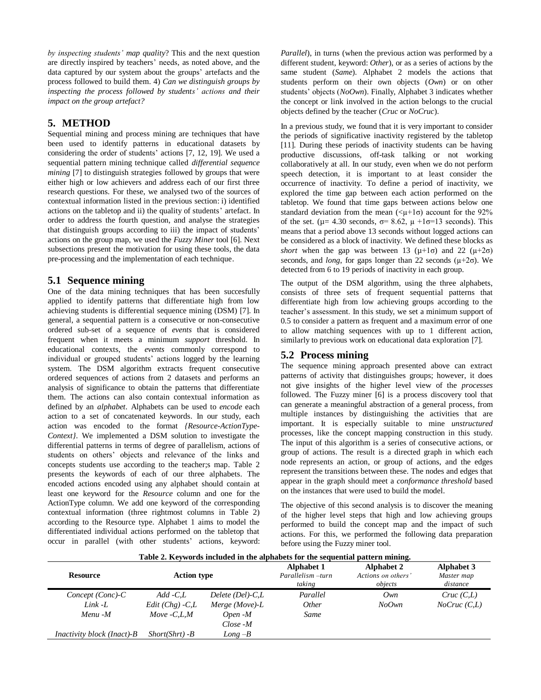*by inspecting students' map quality*? This and the next question are directly inspired by teachers' needs, as noted above, and the data captured by our system about the groups' artefacts and the process followed to build them. 4) *Can we distinguish groups by inspecting the process followed by students' actions and their impact on the group artefact?*

#### **5. METHOD**

Sequential mining and process mining are techniques that have been used to identify patterns in educational datasets by considering the order of students' actions [\[7,](#page-7-19) [12,](#page-7-11) [19\]](#page-7-20). We used a sequential pattern mining technique called *differential sequence mining* [\[7\]](#page-7-19) to distinguish strategies followed by groups that were either high or low achievers and address each of our first three research questions. For these, we analysed two of the sources of contextual information listed in the previous section: i) identified actions on the tabletop and ii) the quality of students' artefact. In order to address the fourth question, and analyse the strategies that distinguish groups according to iii) the impact of students' actions on the group map, we used the *Fuzzy Miner* tool [\[6\]](#page-7-12). Next subsections present the motivation for using these tools, the data pre-processing and the implementation of each technique.

#### **5.1 Sequence mining**

One of the data mining techniques that has been succesfully applied to identify patterns that differentiate high from low achieving students is differential sequence mining (DSM) [\[7\]](#page-7-19). In general, a sequential pattern is a consecutive or non-consecutive ordered sub-set of a sequence of *events* that is considered frequent when it meets a minimum *support* threshold. In educational contexts, the *events* commonly correspond to individual or grouped students' actions logged by the learning system. The DSM algorithm extracts frequent consecutive ordered sequences of actions from 2 datasets and performs an analysis of significance to obtain the patterns that differentiate them. The actions can also contain contextual information as defined by an *alphabet*. Alphabets can be used to *encode* each action to a set of concatenated keywords. In our study, each action was encoded to the format *{Resource-ActionType-Context}*. We implemented a DSM solution to investigate the differential patterns in terms of degree of parallelism, actions of students on others' objects and relevance of the links and concepts students use according to the teacher;s map. Table 2 presents the keywords of each of our three alphabets. The encoded actions encoded using any alphabet should contain at least one keyword for the *Resource* column and one for the ActionType column. We add one keyword of the corresponding contextual information (three rightmost columns in Table 2) according to the Resource type. Alphabet 1 aims to model the differentiated individual actions performed on the tabletop that occur in parallel (with other students' actions, keyword: *Parallel*), in turns (when the previous action was performed by a different student, keyword: *Other*), or as a series of actions by the same student (*Same*). Alphabet 2 models the actions that students perform on their own objects (*Own*) or on other students' objects (*NoOwn*). Finally, Alphabet 3 indicates whether the concept or link involved in the action belongs to the crucial objects defined by the teacher (*Cruc* or *NoCruc*).

In a previous study, we found that it is very important to consider the periods of significative inactivity registered by the tabletop [\[11\]](#page-7-7). During these periods of inactivity students can be having productive discussions, off-task talking or not working collaboratively at all. In our study, even when we do not perform speech detection, it is important to at least consider the occurrence of inactivity. To define a period of inactivity, we explored the time gap between each action performed on the tabletop. We found that time gaps between actions below one standard deviation from the mean  $(\langle \mu + 1\sigma \rangle)$  account for the 92% of the set. ( $\mu$ = 4.30 seconds,  $\sigma$ = 8.62,  $\mu$  +1 $\sigma$ =13 seconds). This means that a period above 13 seconds without logged actions can be considered as a block of inactivity. We defined these blocks as *short* when the gap was between 13 ( $\mu$ +1 $\sigma$ ) and 22 ( $\mu$ +2 $\sigma$ ) seconds, and *long*, for gaps longer than 22 seconds  $(\mu + 2\sigma)$ . We detected from 6 to 19 periods of inactivity in each group.

The output of the DSM algorithm, using the three alphabets, consists of three sets of frequent sequential patterns that differentiate high from low achieving groups according to the teacher's assessment. In this study, we set a minimum support of 0.5 to consider a pattern as frequent and a maximum error of one to allow matching sequences with up to 1 different action, similarly to previous work on educational data exploration [\[7\]](#page-7-19).

# **5.2 Process mining**

The sequence mining approach presented above can extract patterns of activity that distinguishes groups; however, it does not give insights of the higher level view of the *processes* followed. The Fuzzy miner [\[6\]](#page-7-12) is a process discovery tool that can generate a meaningful abstraction of a general process, from multiple instances by distinguishing the activities that are important. It is especially suitable to mine *unstructured* processes, like the concept mapping construction in this study. The input of this algorithm is a series of consecutive actions, or group of actions. The result is a directed graph in which each node represents an action, or group of actions, and the edges represent the transitions between these. The nodes and edges that appear in the graph should meet a *conformance threshold* based on the instances that were used to build the model.

The objective of this second analysis is to discover the meaning of the higher level steps that high and low achieving groups performed to build the concept map and the impact of such actions. For this, we performed the following data preparation before using the Fuzzy miner tool.

| Table 2. Keywords included in the alphabets for the sequential pattern mining. |                    |                          |                                                  |                                                    |                                      |
|--------------------------------------------------------------------------------|--------------------|--------------------------|--------------------------------------------------|----------------------------------------------------|--------------------------------------|
| <b>Resource</b>                                                                | <b>Action type</b> |                          | <b>Alphabet 1</b><br>Parallelism -turn<br>taking | <b>Alphabet 2</b><br>Actions on others'<br>objects | Alphabet 3<br>Master map<br>distance |
| $Concept (Conc)$ - $C$                                                         | $Add$ - $CL$       | $Delete (Del)$ - $C_{L}$ | Parallel                                         | Own                                                | Cruc(C,L)                            |
| Link -L                                                                        | $Edit (Chg) - C.L$ | Merge (Move)- $L$        | <i>Other</i>                                     | No Own                                             | NoCruc(C,L)                          |
| Menu -M                                                                        | Move $-C.L.M$      | Open -M                  | Same                                             |                                                    |                                      |
|                                                                                |                    | $Close -M$               |                                                  |                                                    |                                      |
| <i>Inactivity block (Inact)-B</i>                                              | $Short(Shrt) - B$  | $Long-B$                 |                                                  |                                                    |                                      |

**Table 2. Keywords included in the alphabets for the sequential pattern mining.**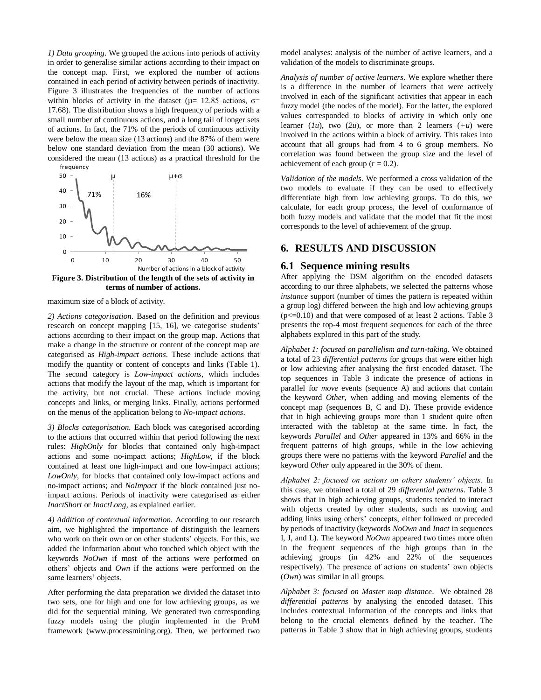*1) Data grouping*. We grouped the actions into periods of activity in order to generalise similar actions according to their impact on the concept map. First, we explored the number of actions contained in each period of activity between periods of inactivity. Figure 3 illustrates the frequencies of the number of actions within blocks of activity in the dataset ( $\mu$ = 12.85 actions,  $\sigma$ = 17.68). The distribution shows a high frequency of periods with a small number of continuous actions, and a long tail of longer sets of actions. In fact, the 71% of the periods of continuous activity were below the mean size (13 actions) and the 87% of them were below one standard deviation from the mean (30 actions). We considered the mean (13 actions) as a practical threshold for the



maximum size of a block of activity.

*2) Actions categorisation.* Based on the definition and previous research on concept mapping [\[15,](#page-7-21) [16\]](#page-7-16), we categorise students' actions according to their impact on the group map. Actions that make a change in the structure or content of the concept map are categorised as *High-impact actions.* These include actions that modify the quantity or content of concepts and links (Table 1). The second category is *Low-impact actions,* which includes actions that modify the layout of the map, which is important for the activity, but not crucial. These actions include moving concepts and links, or merging links. Finally, actions performed on the menus of the application belong to *No-impact actions*.

*3) Blocks categorisation.* Each block was categorised according to the actions that occurred within that period following the next rules: *HighOnly* for blocks that contained only high-impact actions and some no-impact actions; *HighLow,* if the block contained at least one high-impact and one low-impact actions; *LowOnly*, for blocks that contained only low-impact actions and no-impact actions; and *NoImpact* if the block contained just noimpact actions. Periods of inactivity were categorised as either *InactShort* or *InactLong*, as explained earlier.

*4) Addition of contextual information.* According to our research aim, we highlighted the importance of distinguish the learners who work on their own or on other students' objects. For this, we added the information about who touched which object with the keywords *NoOwn* if most of the actions were performed on others' objects and *Own* if the actions were performed on the same learners' objects.

After performing the data preparation we divided the dataset into two sets, one for high and one for low achieving groups, as we did for the sequential mining. We generated two corresponding fuzzy models using the plugin implemented in the ProM framework (www.processmining.org). Then, we performed two model analyses: analysis of the number of active learners, and a validation of the models to discriminate groups.

*Analysis of number of active learners.* We explore whether there is a difference in the number of learners that were actively involved in each of the significant activities that appear in each fuzzy model (the nodes of the model). For the latter, the explored values corresponded to blocks of activity in which only one learner  $(lu)$ , two  $(2u)$ , or more than 2 learners  $(+u)$  were involved in the actions within a block of activity. This takes into account that all groups had from 4 to 6 group members. No correlation was found between the group size and the level of achievement of each group  $(r = 0.2)$ .

*Validation of the models*. We performed a cross validation of the two models to evaluate if they can be used to effectively differentiate high from low achieving groups. To do this, we calculate, for each group process, the level of conformance of both fuzzy models and validate that the model that fit the most corresponds to the level of achievement of the group.

# **6. RESULTS AND DISCUSSION**

#### **6.1 Sequence mining results**

After applying the DSM algorithm on the encoded datasets according to our three alphabets, we selected the patterns whose *instance* support (number of times the pattern is repeated within a group log) differed between the high and low achieving groups  $(p \le 0.10)$  and that were composed of at least 2 actions. Table 3 presents the top-4 most frequent sequences for each of the three alphabets explored in this part of the study.

*Alphabet 1: focused on parallelism and turn-taking.* We obtained a total of 23 *differential patterns* for groups that were either high or low achieving after analysing the first encoded dataset. The top sequences in Table 3 indicate the presence of actions in parallel for *move* events (sequence A) and actions that contain the keyword *Other,* when adding and moving elements of the concept map (sequences B, C and D). These provide evidence that in high achieving groups more than 1 student quite often interacted with the tabletop at the same time. In fact, the keywords *Parallel* and *Other* appeared in 13% and 66% in the frequent patterns of high groups, while in the low achieving groups there were no patterns with the keyword *Parallel* and the keyword *Other* only appeared in the 30% of them.

*Alphabet 2: focused on actions on others students' objects.* In this case, we obtained a total of 29 *differential patterns*. Table 3 shows that in high achieving groups, students tended to interact with objects created by other students, such as moving and adding links using others' concepts, either followed or preceded by periods of inactivity (keywords *NoOwn* and *Inact* in sequences I, J, and L). The keyword *NoOwn* appeared two times more often in the frequent sequences of the high groups than in the achieving groups (in 42% and 22% of the sequences respectively). The presence of actions on students' own objects (*Own*) was similar in all groups.

*Alphabet 3: focused on Master map distance*. We obtained 28 *differential patterns* by analysing the encoded dataset. This includes contextual information of the concepts and links that belong to the crucial elements defined by the teacher. The patterns in Table 3 show that in high achieving groups, students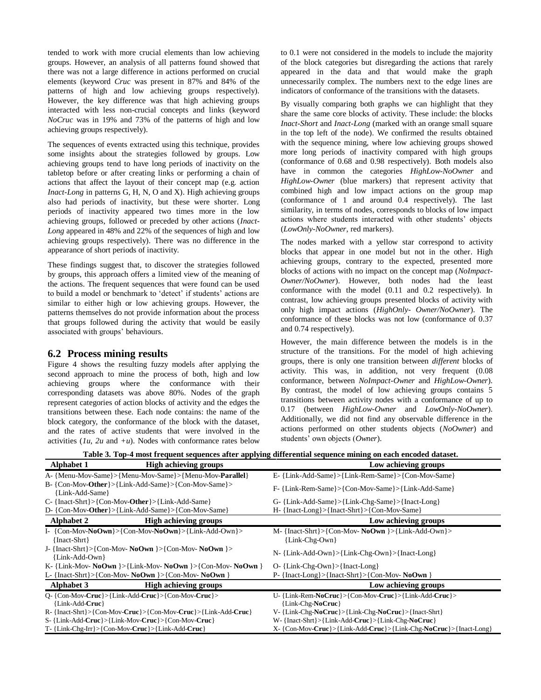tended to work with more crucial elements than low achieving groups. However, an analysis of all patterns found showed that there was not a large difference in actions performed on crucial elements (keyword *Cruc* was present in 87% and 84% of the patterns of high and low achieving groups respectively). However, the key difference was that high achieving groups interacted with less non-crucial concepts and links (keyword *NoCruc* was in 19% and 73% of the patterns of high and low achieving groups respectively).

The sequences of events extracted using this technique, provides some insights about the strategies followed by groups. Low achieving groups tend to have long periods of inactivity on the tabletop before or after creating links or performing a chain of actions that affect the layout of their concept map (e.g. action *Inact-Long* in patterns G, H, N, O and X). High achieving groups also had periods of inactivity, but these were shorter. Long periods of inactivity appeared two times more in the low achieving groups, followed or preceded by other actions (*Inact-Long* appeared in 48% and 22% of the sequences of high and low achieving groups respectively). There was no difference in the appearance of short periods of inactivity.

These findings suggest that, to discover the strategies followed by groups, this approach offers a limited view of the meaning of the actions. The frequent sequences that were found can be used to build a model or benchmark to 'detect' if students' actions are similar to either high or low achieving groups. However, the patterns themselves do not provide information about the process that groups followed during the activity that would be easily associated with groups' behaviours.

#### **6.2 Process mining results**

Figure 4 shows the resulting fuzzy models after applying the second approach to mine the process of both, high and low achieving groups where the conformance with their corresponding datasets was above 80%. Nodes of the graph represent categories of action blocks of activity and the edges the transitions between these. Each node contains: the name of the block category, the conformance of the block with the dataset, and the rates of active students that were involved in the activities  $(lu, 2u$  and  $+u$ ). Nodes with conformance rates below

to 0.1 were not considered in the models to include the majority of the block categories but disregarding the actions that rarely appeared in the data and that would make the graph unnecessarily complex. The numbers next to the edge lines are indicators of conformance of the transitions with the datasets.

By visually comparing both graphs we can highlight that they share the same core blocks of activity. These include: the blocks *Inact-Short* and *Inact-Long* (marked with an orange small square in the top left of the node). We confirmed the results obtained with the sequence mining, where low achieving groups showed more long periods of inactivity compared with high groups (conformance of 0.68 and 0.98 respectively). Both models also have in common the categories *HighLow-NoOwner* and *HighLow-Owner* (blue markers) that represent activity that combined high and low impact actions on the group map (conformance of 1 and around 0.4 respectively). The last similarity, in terms of nodes, corresponds to blocks of low impact actions where students interacted with other students' objects (*LowOnly-NoOwner*, red markers).

The nodes marked with a yellow star correspond to activity blocks that appear in one model but not in the other. High achieving groups, contrary to the expected, presented more blocks of actions with no impact on the concept map (*NoImpact-Owner/NoOwner*). However, both nodes had the least conformance with the model (0.11 and 0.2 respectively). In contrast, low achieving groups presented blocks of activity with only high impact actions (*HighOnly*- *Owner/NoOwner*). The conformance of these blocks was not low (conformance of 0.37 and 0.74 respectively).

However, the main difference between the models is in the structure of the transitions. For the model of high achieving groups, there is only one transition between *different* blocks of activity. This was, in addition, not very frequent (0.08 conformance, between *NoImpact-Owner* and *HighLow-Owner*). By contrast, the model of low achieving groups contains 5 transitions between activity nodes with a conformance of up to 0.17 (between *HighLow-Owner* and *LowOnly-NoOwner*). Additionally, we did not find any observable difference in the actions performed on other students objects (*NoOwner*) and students' own objects (*Owner*).

**Table 3. Top-4 most frequent sequences after applying differential sequence mining on each encoded dataset.**

| Table 5. Top-4 most frequent sequences arter apprying unterential sequence mining on each encoueu uataset. |                                                                                      |                                                                   |
|------------------------------------------------------------------------------------------------------------|--------------------------------------------------------------------------------------|-------------------------------------------------------------------|
| <b>Alphabet 1</b>                                                                                          | <b>High achieving groups</b>                                                         | Low achieving groups                                              |
|                                                                                                            | A- {Menu-Mov-Same}>{Menu-Mov-Same}>{Menu-Mov- <b>Parallel</b> }                      | E-{Link-Add-Same}>{Link-Rem-Same}>{Con-Mov-Same}                  |
| {Link-Add-Same}                                                                                            | B-{Con-Mov-Other}>{Link-Add-Same}>{Con-Mov-Same}>                                    | F- {Link-Rem-Same}>{Con-Mov-Same}>{Link-Add-Same}                 |
|                                                                                                            | $C-$ {Inact-Shrt}>{Con-Mov-Other}>{Link-Add-Same}                                    | G- {Link-Add-Same}>{Link-Chg-Same}>{Inact-Long}                   |
|                                                                                                            | D- {Con-Mov-Other}>{Link-Add-Same}>{Con-Mov-Same}                                    | H- {Inact-Long}>{Inact-Shrt}>{Con-Mov-Same}                       |
| <b>Alphabet 2</b>                                                                                          | <b>High achieving groups</b>                                                         | Low achieving groups                                              |
| {Inact-Shrt}                                                                                               | I- {Con-Mov-NoOwn}>{Con-Mov-NoOwn}>{Link-Add-Own}>                                   | M- {Inact-Shrt}>{Con-Mov-NoOwn}>{Link-Add-Own}><br>{Link-Chg-Own} |
| {Link-Add-Own}                                                                                             | J- {Inact-Shrt}>{Con-Mov-NoOwn}>{Con-Mov-NoOwn}>                                     | N-{Link-Add-Own}>{Link-Chg-Own}>{Inact-Long}                      |
|                                                                                                            | K-{Link-Mov- $\text{NoOwn}$ }>{Link-Mov- $\text{NoOwn}$ }>{Con-Mov- $\text{NoOwn}$ } | $O-$ {Link-Chg-Own}>{Inact-Long}                                  |
|                                                                                                            | L- {Inact-Shrt}>{Con-Mov- NoOwn }>{Con-Mov- NoOwn }                                  | $P - \{Inact-Long\} > \{Inact-Shrt\} > \{Con-Mov-NoOwn\}$         |
| <b>Alphabet 3</b>                                                                                          | <b>High achieving groups</b>                                                         | Low achieving groups                                              |
|                                                                                                            | O-{Con-Mov-Cruc}>{Link-Add-Cruc}>{Con-Mov-Cruc}>                                     | U-{Link-Rem-NoCruc}>{Con-Mov-Cruc}>{Link-Add-Cruc}>               |
| {Link-Add-Cruc}                                                                                            |                                                                                      | {Link-Chg-NoCruc}                                                 |
|                                                                                                            | R-{Inact-Shrt}>{Con-Mov-Cruc}>{Con-Mov-Cruc}>{Link-Add-Cruc}                         | $V - \{Link-Chg-NoCruc\} > \{Link-Chg-NoCruc\} > \{Inact-Shrt\}$  |
|                                                                                                            | S- {Link-Add-Cruc}>{Link-Mov-Cruc}>{Con-Mov-Cruc}                                    | W-{Inact-Shrt}>{Link-Add-Cruc}>{Link-Chg-NoCruc}                  |
|                                                                                                            | T-{Link-Chg-Irr}>{Con-Mov-Cruc}>{Link-Add-Cruc}                                      | X- {Con-Mov-Cruc}>{Link-Add-Cruc}>{Link-Chg-NoCruc}>{Inact-Long}  |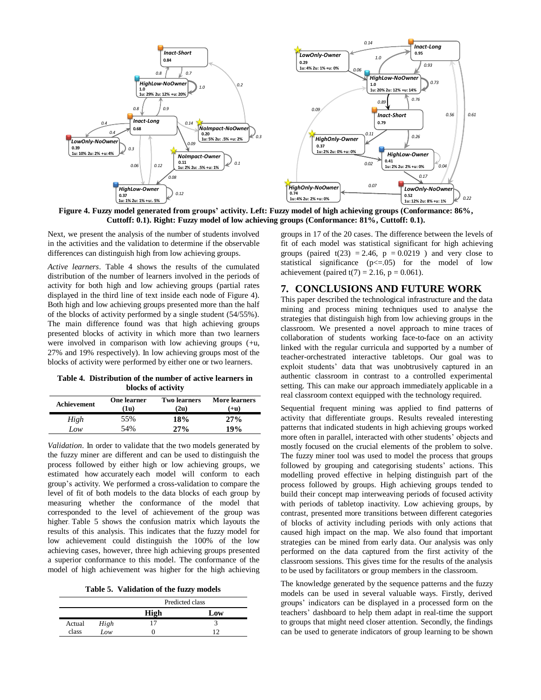

**Figure 4. Fuzzy model generated from groups' activity. Left: Fuzzy model of high achieving groups (Conformance: 86%, Cuttoff: 0.1). Right: Fuzzy model of low achieving groups (Conformance: 81%, Cuttoff: 0.1).**

Next, we present the analysis of the number of students involved in the activities and the validation to determine if the observable differences can distinguish high from low achieving groups.

*Active learners*. Table 4 shows the results of the cumulated distribution of the number of learners involved in the periods of activity for both high and low achieving groups (partial rates displayed in the third line of text inside each node of Figure 4). Both high and low achieving groups presented more than the half of the blocks of activity performed by a single student (54/55%). The main difference found was that high achieving groups presented blocks of activity in which more than two learners were involved in comparison with low achieving groups (+u, 27% and 19% respectively). In low achieving groups most of the blocks of activity were performed by either one or two learners.

**Table 4. Distribution of the number of active learners in blocks of activity**

| Achievement | One learner<br>(1u) | <b>Two learners</b><br>(2u) | <b>More learners</b><br>(+u) |
|-------------|---------------------|-----------------------------|------------------------------|
| High        | 55%                 | 18%                         | 27%                          |
| Low         | 54%                 | $27\%$                      | 19%                          |

*Validation*. In order to validate that the two models generated by the fuzzy miner are different and can be used to distinguish the process followed by either high or low achieving groups, we estimated how accurately each model will conform to each group's activity. We performed a cross-validation to compare the level of fit of both models to the data blocks of each group by measuring whether the conformance of the model that corresponded to the level of achievement of the group was higher. Table 5 shows the confusion matrix which layouts the results of this analysis. This indicates that the fuzzy model for low achievement could distinguish the 100% of the low achieving cases, however, three high achieving groups presented a superior conformance to this model. The conformance of the model of high achievement was higher for the high achieving

**Table 5. Validation of the fuzzy models**

|        |      | Predicted class |     |  |
|--------|------|-----------------|-----|--|
|        |      | High            | Low |  |
| Actual | High |                 |     |  |
| class  | Low  |                 | ∣າ  |  |

groups in 17 of the 20 cases. The difference between the levels of fit of each model was statistical significant for high achieving groups (paired  $t(23) = 2.46$ ,  $p = 0.0219$ ) and very close to statistical significance  $(p \le 0.05)$  for the model of low achievement (paired  $t(7) = 2.16$ ,  $p = 0.061$ ).

#### **7. CONCLUSIONS AND FUTURE WORK**

This paper described the technological infrastructure and the data mining and process mining techniques used to analyse the strategies that distinguish high from low achieving groups in the classroom. We presented a novel approach to mine traces of collaboration of students working face-to-face on an activity linked with the regular curricula and supported by a number of teacher-orchestrated interactive tabletops. Our goal was to exploit students' data that was unobtrusively captured in an authentic classroom in contrast to a controlled experimental setting. This can make our approach immediately applicable in a real classroom context equipped with the technology required.

Sequential frequent mining was applied to find patterns of activity that differentiate groups. Results revealed interesting patterns that indicated students in high achieving groups worked more often in parallel, interacted with other students' objects and mostly focused on the crucial elements of the problem to solve. The fuzzy miner tool was used to model the process that groups followed by grouping and categorising students' actions. This modelling proved effective in helping distinguish part of the process followed by groups. High achieving groups tended to build their concept map interweaving periods of focused activity with periods of tabletop inactivity. Low achieving groups, by contrast, presented more transitions between different categories of blocks of activity including periods with only actions that caused high impact on the map. We also found that important strategies can be mined from early data. Our analysis was only performed on the data captured from the first activity of the classroom sessions. This gives time for the results of the analysis to be used by facilitators or group members in the classroom.

The knowledge generated by the sequence patterns and the fuzzy models can be used in several valuable ways. Firstly, derived groups' indicators can be displayed in a processed form on the teachers' dashboard to help them adapt in real-time the support to groups that might need closer attention. Secondly, the findings can be used to generate indicators of group learning to be shown